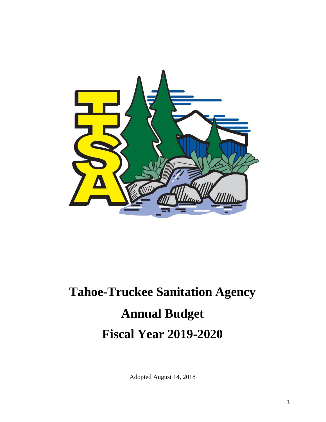

# **Tahoe-Truckee Sanitation Agency Annual Budget Fiscal Year 2019-2020**

Adopted August 14, 2018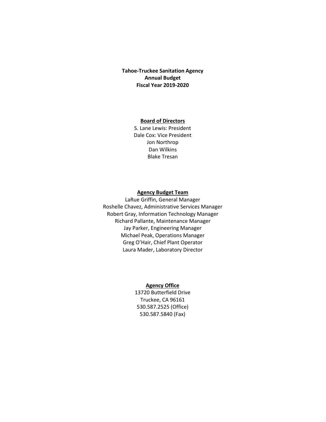#### **Tahoe-Truckee Sanitation Agency Annual Budget Fiscal Year 2019-2020**

#### **Board of Directors**

S. Lane Lewis: President Dale Cox: Vice President Jon Northrop Dan Wilkins Blake Tresan

#### **Agency Budget Team**

LaRue Griffin, General Manager Roshelle Chavez, Administrative Services Manager Robert Gray, Information Technology Manager Richard Pallante, Maintenance Manager Jay Parker, Engineering Manager Michael Peak, Operations Manager Greg O'Hair, Chief Plant Operator Laura Mader, Laboratory Director

#### **Agency Office**

13720 Butterfield Drive Truckee, CA 96161 530.587.2525 (Office) 530.587.5840 (Fax)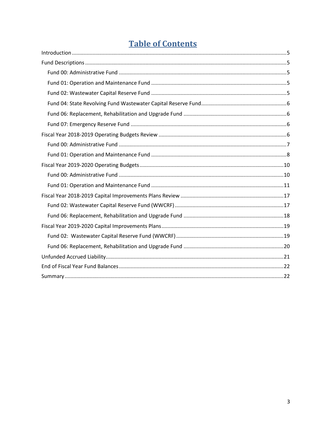# **Table of Contents**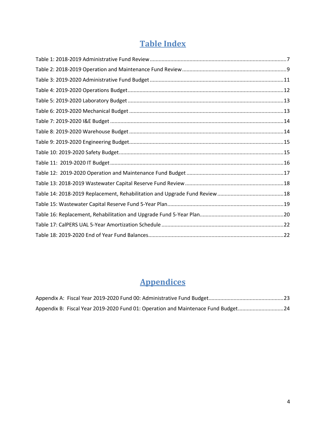# **Table Index**

# **Appendices**

| Appendix B: Fiscal Year 2019-2020 Fund 01: Operation and Maintenace Fund Budget24 |  |
|-----------------------------------------------------------------------------------|--|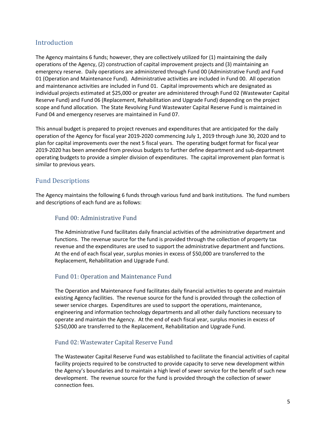# <span id="page-4-0"></span>**Introduction**

The Agency maintains 6 funds; however, they are collectively utilized for (1) maintaining the daily operations of the Agency, (2) construction of capital improvement projects and (3) maintaining an emergency reserve. Daily operations are administered through Fund 00 (Administrative Fund) and Fund 01 (Operation and Maintenance Fund). Administrative activities are included in Fund 00. All operation and maintenance activities are included in Fund 01. Capital improvements which are designated as individual projects estimated at \$25,000 or greater are administered through Fund 02 (Wastewater Capital Reserve Fund) and Fund 06 (Replacement, Rehabilitation and Upgrade Fund) depending on the project scope and fund allocation. The State Revolving Fund Wastewater Capital Reserve Fund is maintained in Fund 04 and emergency reserves are maintained in Fund 07.

This annual budget is prepared to project revenues and expenditures that are anticipated for the daily operation of the Agency for fiscal year 2019-2020 commencing July 1, 2019 through June 30, 2020 and to plan for capital improvements over the next 5 fiscal years. The operating budget format for fiscal year 2019-2020 has been amended from previous budgets to further define department and sub-department operating budgets to provide a simpler division of expenditures. The capital improvement plan format is similar to previous years.

# <span id="page-4-1"></span>Fund Descriptions

The Agency maintains the following 6 funds through various fund and bank institutions. The fund numbers and descriptions of each fund are as follows:

# <span id="page-4-2"></span>Fund 00: Administrative Fund

The Administrative Fund facilitates daily financial activities of the administrative department and functions. The revenue source for the fund is provided through the collection of property tax revenue and the expenditures are used to support the administrative department and functions. At the end of each fiscal year, surplus monies in excess of \$50,000 are transferred to the Replacement, Rehabilitation and Upgrade Fund.

# <span id="page-4-3"></span>Fund 01: Operation and Maintenance Fund

The Operation and Maintenance Fund facilitates daily financial activities to operate and maintain existing Agency facilities. The revenue source for the fund is provided through the collection of sewer service charges. Expenditures are used to support the operations, maintenance, engineering and information technology departments and all other daily functions necessary to operate and maintain the Agency. At the end of each fiscal year, surplus monies in excess of \$250,000 are transferred to the Replacement, Rehabilitation and Upgrade Fund.

# <span id="page-4-4"></span>Fund 02: Wastewater Capital Reserve Fund

The Wastewater Capital Reserve Fund was established to facilitate the financial activities of capital facility projects required to be constructed to provide capacity to serve new development within the Agency's boundaries and to maintain a high level of sewer service for the benefit of such new development. The revenue source for the fund is provided through the collection of sewer connection fees.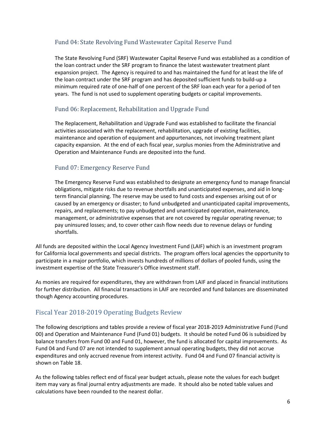# <span id="page-5-0"></span>Fund 04: State Revolving Fund Wastewater Capital Reserve Fund

The State Revolving Fund (SRF) Wastewater Capital Reserve Fund was established as a condition of the loan contract under the SRF program to finance the latest wastewater treatment plant expansion project. The Agency is required to and has maintained the fund for at least the life of the loan contract under the SRF program and has deposited sufficient funds to build-up a minimum required rate of one-half of one percent of the SRF loan each year for a period of ten years. The fund is not used to supplement operating budgets or capital improvements.

# <span id="page-5-1"></span>Fund 06: Replacement, Rehabilitation and Upgrade Fund

The Replacement, Rehabilitation and Upgrade Fund was established to facilitate the financial activities associated with the replacement, rehabilitation, upgrade of existing facilities, maintenance and operation of equipment and appurtenances, not involving treatment plant capacity expansion. At the end of each fiscal year, surplus monies from the Administrative and Operation and Maintenance Funds are deposited into the fund.

# <span id="page-5-2"></span>Fund 07: Emergency Reserve Fund

The Emergency Reserve Fund was established to designate an emergency fund to manage financial obligations, mitigate risks due to revenue shortfalls and unanticipated expenses, and aid in longterm financial planning. The reserve may be used to fund costs and expenses arising out of or caused by an emergency or disaster; to fund unbudgeted and unanticipated capital improvements, repairs, and replacements; to pay unbudgeted and unanticipated operation, maintenance, management, or administrative expenses that are not covered by regular operating revenue; to pay uninsured losses; and, to cover other cash flow needs due to revenue delays or funding shortfalls.

All funds are deposited within the Local Agency Investment Fund (LAIF) which is an investment program for California local governments and special districts. The program offers local agencies the opportunity to participate in a major portfolio, which invests hundreds of millions of dollars of pooled funds, using the investment expertise of the State Treasurer's Office investment staff.

As monies are required for expenditures, they are withdrawn from LAIF and placed in financial institutions for further distribution. All financial transactions in LAIF are recorded and fund balances are disseminated though Agency accounting procedures.

# <span id="page-5-3"></span>Fiscal Year 2018-2019 Operating Budgets Review

The following descriptions and tables provide a review of fiscal year 2018-2019 Administrative Fund (Fund 00) and Operation and Maintenance Fund (Fund 01) budgets. It should be noted Fund 06 is subsidized by balance transfers from Fund 00 and Fund 01, however, the fund is allocated for capital improvements. As Fund 04 and Fund 07 are not intended to supplement annual operating budgets, they did not accrue expenditures and only accrued revenue from interest activity. Fund 04 and Fund 07 financial activity is shown on Table 18.

As the following tables reflect end of fiscal year budget actuals, please note the values for each budget item may vary as final journal entry adjustments are made. It should also be noted table values and calculations have been rounded to the nearest dollar.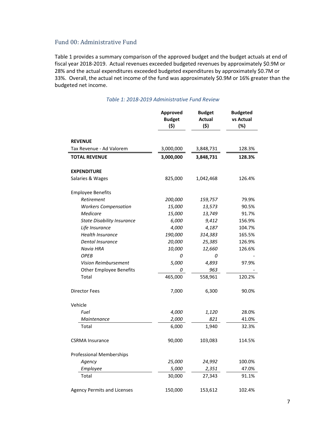### <span id="page-6-0"></span>Fund 00: Administrative Fund

Table 1 provides a summary comparison of the approved budget and the budget actuals at end of fiscal year 2018-2019. Actual revenues exceeded budgeted revenues by approximately \$0.9M or 28% and the actual expenditures exceeded budgeted expenditures by approximately \$0.7M or 33%. Overall, the actual net income of the fund was approximately \$0.9M or 16% greater than the budgeted net income.

<span id="page-6-1"></span>

|                                    | Approved<br><b>Budget</b><br>(\$) |           | <b>Budgeted</b><br>vs Actual<br>(%) |
|------------------------------------|-----------------------------------|-----------|-------------------------------------|
| <b>REVENUE</b>                     |                                   |           |                                     |
| Tax Revenue - Ad Valorem           | 3,000,000                         | 3,848,731 | 128.3%                              |
| <b>TOTAL REVENUE</b>               | 3,000,000                         | 3,848,731 | 128.3%                              |
| <b>EXPENDITURE</b>                 |                                   |           |                                     |
| Salaries & Wages                   | 825,000                           | 1,042,468 | 126.4%                              |
| <b>Employee Benefits</b>           |                                   |           |                                     |
| Retirement                         | 200,000                           | 159,757   | 79.9%                               |
| <b>Workers Compensation</b>        | 15,000                            | 13,573    | 90.5%                               |
| Medicare                           | 15,000                            | 13,749    | 91.7%                               |
| <b>State Disability Insurance</b>  | 6,000                             | 9,412     | 156.9%                              |
| Life Insurance                     | 4,000                             | 4,187     | 104.7%                              |
| <b>Health Insurance</b>            | 190,000                           | 314,383   | 165.5%                              |
| Dental Insurance                   | 20,000                            | 25,385    | 126.9%                              |
| Navia HRA                          | 10,000                            | 12,660    | 126.6%                              |
| <b>OPEB</b>                        | 0                                 | 0         |                                     |
| Vision Reimbursement               | 5,000                             | 4,893     | 97.9%                               |
| <b>Other Employee Benefits</b>     | 0                                 | 963       |                                     |
| Total                              | 465,000                           | 558,961   | 120.2%                              |
| <b>Director Fees</b>               | 7,000                             | 6,300     | 90.0%                               |
| Vehicle                            |                                   |           |                                     |
| Fuel                               | 4,000                             | 1,120     | 28.0%                               |
| Maintenance                        | 2,000                             | 821       | 41.0%                               |
| Total                              | 6,000                             | 1,940     | 32.3%                               |
| <b>CSRMA Insurance</b>             | 90,000                            | 103,083   | 114.5%                              |
| <b>Professional Memberships</b>    |                                   |           |                                     |
| Agency                             | 25,000                            | 24,992    | 100.0%                              |
| Employee                           | 5,000                             | 2,351     | 47.0%                               |
| Total                              | 30,000                            | 27,343    | 91.1%                               |
| <b>Agency Permits and Licenses</b> | 150,000                           | 153,612   | 102.4%                              |

#### *Table 1: 2018-2019 Administrative Fund Review*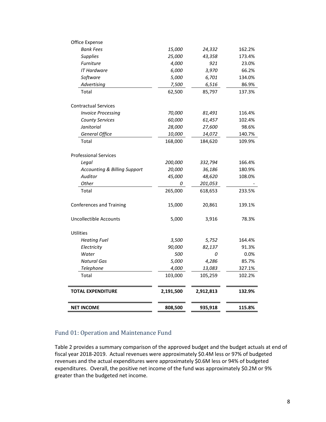| <b>NET INCOME</b>                                        | 808,500   | 935,918   | 115.8% |
|----------------------------------------------------------|-----------|-----------|--------|
| <b>TOTAL EXPENDITURE</b>                                 | 2,191,500 | 2,912,813 | 132.9% |
| Total                                                    | 103,000   | 105,259   | 102.2% |
| Telephone                                                | 4,000     | 13,083    | 327.1% |
| <b>Natural Gas</b>                                       | 5,000     | 4,286     | 85.7%  |
| Water                                                    | 500       | 0         | 0.0%   |
| Electricity                                              | 90,000    | 82,137    | 91.3%  |
| <b>Heating Fuel</b>                                      | 3,500     | 5,752     | 164.4% |
| Utilities                                                |           |           |        |
| <b>Uncollectible Accounts</b>                            | 5,000     | 3,916     | 78.3%  |
| <b>Conferences and Training</b>                          | 15,000    | 20,861    | 139.1% |
| Total                                                    | 265,000   | 618,653   | 233.5% |
| Other                                                    | 0         | 201,053   |        |
| Auditor                                                  | 45,000    | 48,620    | 108.0% |
| <b>Accounting &amp; Billing Support</b>                  | 20,000    | 36,186    | 180.9% |
| Legal                                                    | 200,000   | 332,794   | 166.4% |
| <b>Professional Services</b>                             |           |           |        |
| Total                                                    | 168,000   | 184,620   | 109.9% |
| <b>General Office</b>                                    | 10,000    | 14,072    | 140.7% |
| Janitorial                                               | 28,000    | 27,600    | 98.6%  |
| <b>County Services</b>                                   | 60,000    | 61,457    | 102.4% |
| <b>Contractual Services</b><br><b>Invoice Processing</b> | 70,000    | 81,491    | 116.4% |
| Total                                                    | 62,500    | 85,797    | 137.3% |
| Advertising                                              | 7,500     | 6,516     | 86.9%  |
| Software                                                 | 5,000     | 6,701     | 134.0% |
| IT Hardware                                              | 6,000     | 3,970     | 66.2%  |
| <b>Furniture</b>                                         | 4,000     | 921       | 23.0%  |
| <b>Supplies</b>                                          | 25,000    | 43,358    | 173.4% |
| <b>Bank Fees</b>                                         | 15,000    | 24,332    | 162.2% |
| Office Expense                                           |           |           |        |

# <span id="page-7-0"></span>Fund 01: Operation and Maintenance Fund

Table 2 provides a summary comparison of the approved budget and the budget actuals at end of fiscal year 2018-2019. Actual revenues were approximately \$0.4M less or 97% of budgeted revenues and the actual expenditures were approximately \$0.6M less or 94% of budgeted expenditures. Overall, the positive net income of the fund was approximately \$0.2M or 9% greater than the budgeted net income.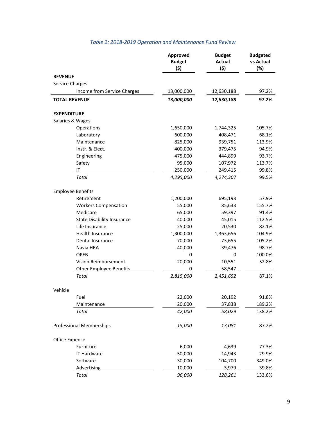<span id="page-8-0"></span>

|                      |                                   | Approved<br><b>Budget</b><br>(\$) | <b>Budget</b><br><b>Actual</b><br>(\$) | <b>Budgeted</b><br>vs Actual<br>(%) |
|----------------------|-----------------------------------|-----------------------------------|----------------------------------------|-------------------------------------|
| <b>REVENUE</b>       |                                   |                                   |                                        |                                     |
| Service Charges      |                                   |                                   |                                        |                                     |
|                      | Income from Service Charges       | 13,000,000                        | 12,630,188                             | 97.2%                               |
| <b>TOTAL REVENUE</b> |                                   | 13,000,000                        | 12,630,188                             | 97.2%                               |
|                      |                                   |                                   |                                        |                                     |
| <b>EXPENDITURE</b>   |                                   |                                   |                                        |                                     |
| Salaries & Wages     |                                   |                                   |                                        |                                     |
|                      | Operations                        | 1,650,000                         | 1,744,325                              | 105.7%                              |
|                      | Laboratory                        | 600,000                           | 408,471                                | 68.1%                               |
|                      | Maintenance                       | 825,000                           | 939,751                                | 113.9%                              |
|                      | Instr. & Elect.                   | 400,000                           | 379,475                                | 94.9%                               |
|                      | Engineering                       | 475,000                           | 444,899                                | 93.7%                               |
|                      | Safety                            | 95,000                            | 107,972                                | 113.7%                              |
|                      | IT                                | 250,000                           | 249,415                                | 99.8%                               |
|                      | Total                             | 4,295,000                         | 4,274,307                              | 99.5%                               |
|                      |                                   |                                   |                                        |                                     |
|                      | <b>Employee Benefits</b>          |                                   |                                        |                                     |
|                      | Retirement                        | 1,200,000                         | 695,193                                | 57.9%                               |
|                      | <b>Workers Compensation</b>       | 55,000                            | 85,633                                 | 155.7%                              |
|                      | Medicare                          | 65,000                            | 59,397                                 | 91.4%                               |
|                      | <b>State Disability Insurance</b> | 40,000                            | 45,015                                 | 112.5%                              |
|                      | Life Insurance                    | 25,000                            | 20,530                                 | 82.1%                               |
|                      | Health Insurance                  | 1,300,000                         | 1,363,656                              | 104.9%                              |
|                      | Dental Insurance                  | 70,000                            | 73,655                                 | 105.2%                              |
|                      | Navia HRA                         | 40,000                            | 39,476                                 | 98.7%                               |
|                      | OPEB                              | 0                                 | 0                                      | 100.0%                              |
|                      | Vision Reimbursement              | 20,000                            | 10,551                                 | 52.8%                               |
|                      | <b>Other Employee Benefits</b>    | 0                                 | 58,547                                 |                                     |
|                      | Total                             | 2,815,000                         | 2,451,652                              | 87.1%                               |
|                      |                                   |                                   |                                        |                                     |
| Vehicle              |                                   |                                   |                                        |                                     |
|                      | Fuel                              | 22,000                            | 20,192                                 | 91.8%                               |
|                      | Maintenance                       | 20,000                            | 37,838                                 | 189.2%                              |
|                      | Total                             | 42,000                            | 58,029                                 | 138.2%                              |
|                      |                                   |                                   |                                        |                                     |
|                      | <b>Professional Memberships</b>   | 15,000                            | 13,081                                 | 87.2%                               |
|                      |                                   |                                   |                                        |                                     |
| Office Expense       |                                   |                                   |                                        |                                     |
|                      | Furniture                         | 6,000                             | 4,639                                  | 77.3%                               |
|                      | <b>IT Hardware</b>                | 50,000                            | 14,943                                 | 29.9%                               |
|                      | Software                          | 30,000                            | 104,700                                | 349.0%                              |
|                      | Advertising                       | 10,000                            | 3,979                                  | 39.8%                               |
|                      | Total                             | 96,000                            | 128,261                                | 133.6%                              |

# *Table 2: 2018-2019 Operation and Maintenance Fund Review*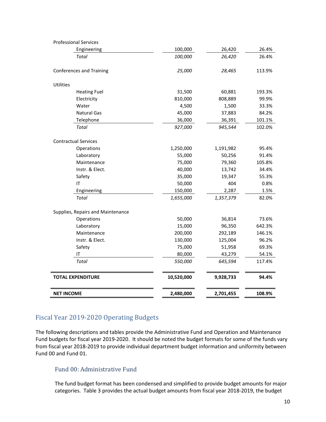| <b>Professional Services</b>      |            |           |        |
|-----------------------------------|------------|-----------|--------|
| Engineering                       | 100,000    | 26,420    | 26.4%  |
| Total                             | 100,000    | 26,420    | 26.4%  |
| <b>Conferences and Training</b>   | 25,000     | 28,465    | 113.9% |
| <b>Utilities</b>                  |            |           |        |
| <b>Heating Fuel</b>               | 31,500     | 60,881    | 193.3% |
| Electricity                       | 810,000    | 808,889   | 99.9%  |
| Water                             | 4,500      | 1,500     | 33.3%  |
| <b>Natural Gas</b>                | 45,000     | 37,883    | 84.2%  |
| Telephone                         | 36,000     | 36,391    | 101.1% |
| Total                             | 927,000    | 945,544   | 102.0% |
| <b>Contractual Services</b>       |            |           |        |
| Operations                        | 1,250,000  | 1,191,982 | 95.4%  |
| Laboratory                        | 55,000     | 50,256    | 91.4%  |
| Maintenance                       | 75,000     | 79,360    | 105.8% |
| Instr. & Elect.                   | 40,000     | 13,742    | 34.4%  |
| Safety                            | 35,000     | 19,347    | 55.3%  |
| IT                                | 50,000     | 404       | 0.8%   |
| Engineering                       | 150,000    | 2,287     | 1.5%   |
| Total                             | 1,655,000  | 1,357,379 | 82.0%  |
| Supplies, Repairs and Maintenance |            |           |        |
| Operations                        | 50,000     | 36,814    | 73.6%  |
| Laboratory                        | 15,000     | 96,350    | 642.3% |
| Maintenance                       | 200,000    | 292,189   | 146.1% |
| Instr. & Elect.                   | 130,000    | 125,004   | 96.2%  |
| Safety                            | 75,000     | 51,958    | 69.3%  |
| IT                                | 80,000     | 43,279    | 54.1%  |
| Total                             | 550,000    | 645,594   | 117.4% |
| <b>TOTAL EXPENDITURE</b>          | 10,520,000 | 9,928,733 | 94.4%  |
| <b>NET INCOME</b>                 | 2,480,000  | 2,701,455 | 108.9% |

# <span id="page-9-0"></span>Fiscal Year 2019-2020 Operating Budgets

The following descriptions and tables provide the Administrative Fund and Operation and Maintenance Fund budgets for fiscal year 2019-2020. It should be noted the budget formats for some of the funds vary from fiscal year 2018-2019 to provide individual department budget information and uniformity between Fund 00 and Fund 01.

### <span id="page-9-1"></span>Fund 00: Administrative Fund

The fund budget format has been condensed and simplified to provide budget amounts for major categories. Table 3 provides the actual budget amounts from fiscal year 2018-2019, the budget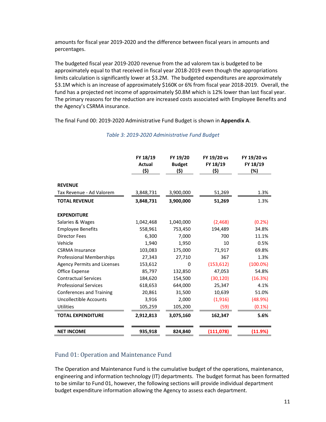amounts for fiscal year 2019-2020 and the difference between fiscal years in amounts and percentages.

The budgeted fiscal year 2019-2020 revenue from the ad valorem tax is budgeted to be approximately equal to that received in fiscal year 2018-2019 even though the appropriations limits calculation is significantly lower at \$3.2M. The budgeted expenditures are approximately \$3.1M which is an increase of approximately \$160K or 6% from fiscal year 2018-2019. Overall, the fund has a projected net income of approximately \$0.8M which is 12% lower than last fiscal year. The primary reasons for the reduction are increased costs associated with Employee Benefits and the Agency's CSRMA insurance.

<span id="page-10-1"></span>The final Fund 00: 2019-2020 Administrative Fund Budget is shown in **Appendix A**.

|                                    | FY 18/19<br>Actual<br>(\$) | FY 19/20<br><b>Budget</b><br>(\$) | FY 19/20 vs<br>FY 18/19<br>(\$) | FY 19/20 vs<br>FY 18/19<br>(%) |
|------------------------------------|----------------------------|-----------------------------------|---------------------------------|--------------------------------|
| <b>REVENUE</b>                     |                            |                                   |                                 |                                |
| Tax Revenue - Ad Valorem           | 3,848,731                  | 3,900,000                         | 51,269                          | 1.3%                           |
| <b>TOTAL REVENUE</b>               | 3,848,731                  | 3,900,000                         | 51,269                          | 1.3%                           |
| <b>EXPENDITURE</b>                 |                            |                                   |                                 |                                |
| Salaries & Wages                   | 1,042,468                  | 1,040,000                         | (2,468)                         | (0.2%                          |
| <b>Employee Benefits</b>           | 558,961                    | 753,450                           | 194,489                         | 34.8%                          |
| <b>Director Fees</b>               | 6,300                      | 7,000                             | 700                             | 11.1%                          |
| Vehicle                            | 1,940                      | 1,950                             | 10                              | 0.5%                           |
| <b>CSRMA</b> Insurance             | 103,083                    | 175,000                           | 71,917                          | 69.8%                          |
| <b>Professional Memberships</b>    | 27,343                     | 27,710                            | 367                             | 1.3%                           |
| <b>Agency Permits and Licenses</b> | 153,612                    | $\mathbf 0$                       | (153, 612)                      | $(100.0\%)$                    |
| Office Expense                     | 85,797                     | 132,850                           | 47,053                          | 54.8%                          |
| <b>Contractual Services</b>        | 184,620                    | 154,500                           | (30, 120)                       | (16.3%)                        |
| <b>Professional Services</b>       | 618,653                    | 644,000                           | 25,347                          | 4.1%                           |
| <b>Conferences and Training</b>    | 20,861                     | 31,500                            | 10,639                          | 51.0%                          |
| <b>Uncollectible Accounts</b>      | 3,916                      | 2,000                             | (1, 916)                        | (48.9%)                        |
| <b>Utilities</b>                   | 105,259                    | 105,200                           | (59)                            | $(0.1\%)$                      |
| <b>TOTAL EXPENDITURE</b>           | 2,912,813                  | 3,075,160                         | 162,347                         | 5.6%                           |
| <b>NET INCOME</b>                  | 935,918                    | 824,840                           | (111, 078)                      | (11.9%)                        |

#### *Table 3: 2019-2020 Administrative Fund Budget*

# <span id="page-10-0"></span>Fund 01: Operation and Maintenance Fund

The Operation and Maintenance Fund is the cumulative budget of the operations, maintenance, engineering and information technology (IT) departments. The budget format has been formatted to be similar to Fund 01, however, the following sections will provide individual department budget expenditure information allowing the Agency to assess each department.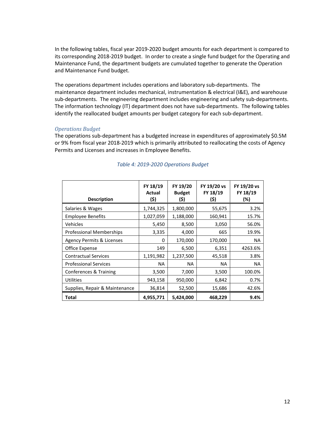In the following tables, fiscal year 2019-2020 budget amounts for each department is compared to its corresponding 2018-2019 budget. In order to create a single fund budget for the Operating and Maintenance Fund, the department budgets are cumulated together to generate the Operation and Maintenance Fund budget.

The operations department includes operations and laboratory sub-departments. The maintenance department includes mechanical, instrumentation & electrical (I&E), and warehouse sub-departments. The engineering department includes engineering and safety sub-departments. The information technology (IT) department does not have sub-departments. The following tables identify the reallocated budget amounts per budget category for each sub-department.

#### *Operations Budget*

The operations sub-department has a budgeted increase in expenditures of approximately \$0.5M or 9% from fiscal year 2018-2019 which is primarily attributed to reallocating the costs of Agency Permits and Licenses and increases in Employee Benefits.

<span id="page-11-0"></span>

| <b>Description</b>              | FY 18/19<br>Actual<br>(\$) | FY 19/20<br><b>Budget</b><br>(\$) | FY 19/20 vs<br>FY 18/19<br>(\$) | FY 19/20 vs<br>FY 18/19<br>(%) |
|---------------------------------|----------------------------|-----------------------------------|---------------------------------|--------------------------------|
| Salaries & Wages                | 1,744,325                  | 1,800,000                         | 55,675                          | 3.2%                           |
| <b>Employee Benefits</b>        | 1,027,059                  | 1,188,000                         | 160,941                         | 15.7%                          |
| Vehicles                        | 5,450                      | 8,500                             | 3,050                           | 56.0%                          |
| <b>Professional Memberships</b> | 3,335                      | 4,000                             | 665                             | 19.9%                          |
| Agency Permits & Licenses       | 0                          | 170,000                           | 170,000                         | <b>NA</b>                      |
| Office Expense                  | 149                        | 6,500                             | 6,351                           | 4263.6%                        |
| <b>Contractual Services</b>     | 1,191,982                  | 1,237,500                         | 45,518                          | 3.8%                           |
| <b>Professional Services</b>    | NA.                        | <b>NA</b>                         | NA.                             | <b>NA</b>                      |
| Conferences & Training          | 3,500                      | 7,000                             | 3,500                           | 100.0%                         |
| Utilities                       | 943,158                    | 950,000                           | 6,842                           | 0.7%                           |
| Supplies, Repair & Maintenance  | 36,814                     | 52,500                            | 15,686                          | 42.6%                          |
| Total                           | 4,955,771                  | 5,424,000                         | 468,229                         | 9.4%                           |

#### *Table 4: 2019-2020 Operations Budget*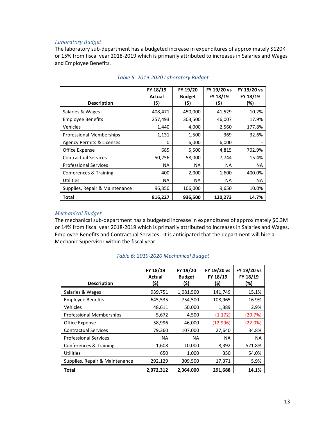#### *Laboratory Budget*

The laboratory sub-department has a budgeted increase in expenditures of approximately \$120K or 15% from fiscal year 2018-2019 which is primarily attributed to increases in Salaries and Wages and Employee Benefits.

<span id="page-12-0"></span>

|                                      | FY 18/19<br>Actual | FY 19/20<br><b>Budget</b> | FY 19/20 vs<br>FY 18/19 | FY 19/20 vs<br>FY 18/19 |
|--------------------------------------|--------------------|---------------------------|-------------------------|-------------------------|
| <b>Description</b>                   | (\$)               | (\$)                      | (\$)                    | (%)                     |
| Salaries & Wages                     | 408,471            | 450,000                   | 41,529                  | 10.2%                   |
| <b>Employee Benefits</b>             | 257,493            | 303,500                   | 46,007                  | 17.9%                   |
| Vehicles                             | 1,440              | 4,000                     | 2,560                   | 177.8%                  |
| <b>Professional Memberships</b>      | 1,131              | 1,500                     | 369                     | 32.6%                   |
| <b>Agency Permits &amp; Licenses</b> | O                  | 6,000                     | 6,000                   |                         |
| Office Expense                       | 685                | 5,500                     | 4,815                   | 702.9%                  |
| <b>Contractual Services</b>          | 50,256             | 58,000                    | 7,744                   | 15.4%                   |
| <b>Professional Services</b>         | NA                 | NA.                       | NA.                     | NA.                     |
| Conferences & Training               | 400                | 2,000                     | 1,600                   | 400.0%                  |
| <b>Utilities</b>                     | NA                 | NA.                       | <b>NA</b>               | NA.                     |
| Supplies, Repair & Maintenance       | 96,350             | 106,000                   | 9,650                   | 10.0%                   |
| Total                                | 816,227            | 936,500                   | 120,273                 | 14.7%                   |

#### *Table 5: 2019-2020 Laboratory Budget*

#### *Mechanical Budget*

The mechanical sub-department has a budgeted increase in expenditures of approximately \$0.3M or 14% from fiscal year 2018-2019 which is primarily attributed to increases in Salaries and Wages, Employee Benefits and Contractual Services. It is anticipated that the department will hire a Mechanic Supervisor within the fiscal year.

<span id="page-12-1"></span>

| <b>Description</b>              | FY 18/19<br>Actual<br>(\$) | FY 19/20<br><b>Budget</b><br>(\$) | FY 19/20 vs<br>FY 18/19<br>(\$) | FY 19/20 vs<br>FY 18/19<br>(%) |
|---------------------------------|----------------------------|-----------------------------------|---------------------------------|--------------------------------|
| Salaries & Wages                | 939,751                    | 1,081,500                         | 141,749                         | 15.1%                          |
| <b>Employee Benefits</b>        | 645,535                    | 754,500                           | 108,965                         | 16.9%                          |
| Vehicles                        | 48,611                     | 50,000                            | 1,389                           | 2.9%                           |
| <b>Professional Memberships</b> | 5,672                      | 4,500                             | (1, 172)                        | (20.7%)                        |
| Office Expense                  | 58,996                     | 46,000                            | (12,996)                        | (22.0%)                        |
| <b>Contractual Services</b>     | 79,360                     | 107,000                           | 27,640                          | 34.8%                          |
| <b>Professional Services</b>    | NA.                        | NA                                | <b>NA</b>                       | <b>NA</b>                      |
| Conferences & Training          | 1,608                      | 10,000                            | 8,392                           | 521.8%                         |
| Utilities                       | 650                        | 1,000                             | 350                             | 54.0%                          |
| Supplies, Repair & Maintenance  | 292,129                    | 309,500                           | 17,371                          | 5.9%                           |
| Total                           | 2,072,312                  | 2,364,000                         | 291,688                         | 14.1%                          |

#### *Table 6: 2019-2020 Mechanical Budget*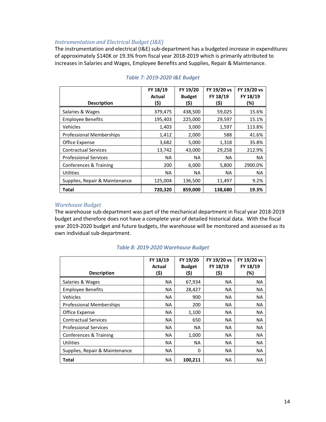#### *Instrumentation and Electrical Budget (I&E)*

The instrumentation and electrical (I&E) sub-department has a budgeted increase in expenditures of approximately \$140K or 19.3% from fiscal year 2018-2019 which is primarily attributed to increases in Salaries and Wages, Employee Benefits and Supplies, Repair & Maintenance.

<span id="page-13-0"></span>

|                                 | FY 18/19  | FY 19/20      | FY 19/20 vs | FY 19/20 vs |
|---------------------------------|-----------|---------------|-------------|-------------|
|                                 | Actual    | <b>Budget</b> | FY 18/19    | FY 18/19    |
| <b>Description</b>              | (\$)      | (\$)          | (\$)        | (%)         |
| Salaries & Wages                | 379,475   | 438,500       | 59,025      | 15.6%       |
| <b>Employee Benefits</b>        | 195,403   | 225,000       | 29,597      | 15.1%       |
| Vehicles                        | 1,403     | 3,000         | 1,597       | 113.8%      |
| <b>Professional Memberships</b> | 1,412     | 2,000         | 588         | 41.6%       |
| Office Expense                  | 3,682     | 5,000         | 1,318       | 35.8%       |
| <b>Contractual Services</b>     | 13,742    | 43,000        | 29,258      | 212.9%      |
| <b>Professional Services</b>    | <b>NA</b> | NA.           | NA.         | <b>NA</b>   |
| Conferences & Training          | 200       | 6,000         | 5,800       | 2900.0%     |
| <b>Utilities</b>                | <b>NA</b> | NA            | <b>NA</b>   | <b>NA</b>   |
| Supplies, Repair & Maintenance  | 125,004   | 136,500       | 11,497      | 9.2%        |
| <b>Total</b>                    | 720,320   | 859,000       | 138,680     | 19.3%       |

#### *Table 7: 2019-2020 I&E Budget*

#### *Warehouse Budget*

The warehouse sub-department was part of the mechanical department in fiscal year 2018-2019 budget and therefore does not have a complete year of detailed historical data. With the fiscal year 2019-2020 budget and future budgets, the warehouse will be monitored and assessed as its own individual sub-department.

<span id="page-13-1"></span>

| <b>Description</b>              | FY 18/19<br><b>Actual</b><br>(\$) | FY 19/20<br><b>Budget</b><br>(\$) | FY 19/20 vs<br>FY 18/19<br>(\$) | FY 19/20 vs<br>FY 18/19<br>(%) |
|---------------------------------|-----------------------------------|-----------------------------------|---------------------------------|--------------------------------|
| Salaries & Wages                | NA.                               | 67,934                            | ΝA                              | NA.                            |
| <b>Employee Benefits</b>        | <b>NA</b>                         | 28,427                            | NA                              | <b>NA</b>                      |
| Vehicles                        | <b>NA</b>                         | 900                               | NA                              | <b>NA</b>                      |
| <b>Professional Memberships</b> | <b>NA</b>                         | 200                               | NA                              | <b>NA</b>                      |
| Office Expense                  | <b>NA</b>                         | 1,100                             | NA                              | <b>NA</b>                      |
| <b>Contractual Services</b>     | NA.                               | 650                               | ΝA                              | <b>NA</b>                      |
| <b>Professional Services</b>    | NA.                               | ΝA                                | NA                              | <b>NA</b>                      |
| Conferences & Training          | NA.                               | 1,000                             | NA                              | <b>NA</b>                      |
| <b>Utilities</b>                | <b>NA</b>                         | <b>NA</b>                         | NA                              | <b>NA</b>                      |
| Supplies, Repair & Maintenance  | NA.                               | 0                                 | NA.                             | NA.                            |
| Total                           | <b>NA</b>                         | 100,211                           | ΝA                              | <b>NA</b>                      |

#### *Table 8: 2019-2020 Warehouse Budget*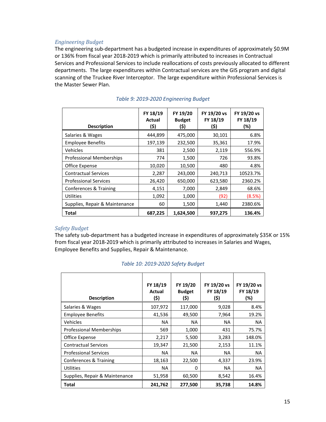#### *Engineering Budget*

The engineering sub-department has a budgeted increase in expenditures of approximately \$0.9M or 136% from fiscal year 2018-2019 which is primarily attributed to increases in Contractual Services and Professional Services to include reallocations of costs previously allocated to different departments. The large expenditures within Contractual services are the GIS program and digital scanning of the Truckee River Interceptor. The large expenditure within Professional Services is the Master Sewer Plan.

<span id="page-14-0"></span>

| <b>Description</b>              | FY 18/19<br>Actual<br>(\$) | FY 19/20<br><b>Budget</b><br>(\$) | FY 19/20 vs<br>FY 18/19<br>(\$) | FY 19/20 vs<br>FY 18/19<br>(%) |
|---------------------------------|----------------------------|-----------------------------------|---------------------------------|--------------------------------|
| Salaries & Wages                | 444,899                    | 475,000                           | 30,101                          | 6.8%                           |
| <b>Employee Benefits</b>        | 197,139                    | 232,500                           | 35,361                          | 17.9%                          |
| Vehicles                        | 381                        | 2,500                             | 2,119                           | 556.9%                         |
| <b>Professional Memberships</b> | 774                        | 1,500                             | 726                             | 93.8%                          |
| Office Expense                  | 10,020                     | 10,500                            | 480                             | 4.8%                           |
| <b>Contractual Services</b>     | 2,287                      | 243,000                           | 240,713                         | 10523.7%                       |
| <b>Professional Services</b>    | 26,420                     | 650,000                           | 623,580                         | 2360.2%                        |
| Conferences & Training          | 4,151                      | 7,000                             | 2,849                           | 68.6%                          |
| Utilities                       | 1,092                      | 1,000                             | (92)                            | (8.5%)                         |
| Supplies, Repair & Maintenance  | 60                         | 1,500                             | 1,440                           | 2380.6%                        |
| Total                           | 687,225                    | 1,624,500                         | 937,275                         | 136.4%                         |

#### *Table 9: 2019-2020 Engineering Budget*

#### *Safety Budget*

The safety sub-department has a budgeted increase in expenditures of approximately \$35K or 15% from fiscal year 2018-2019 which is primarily attributed to increases in Salaries and Wages, Employee Benefits and Supplies, Repair & Maintenance.

<span id="page-14-1"></span>

| <b>Description</b>              | FY 18/19<br>Actual<br>(\$) | FY 19/20<br><b>Budget</b><br>(\$) | FY 19/20 vs<br>FY 18/19<br>(\$) | FY 19/20 vs<br>FY 18/19<br>(%) |
|---------------------------------|----------------------------|-----------------------------------|---------------------------------|--------------------------------|
| Salaries & Wages                | 107,972                    | 117,000                           | 9,028                           | 8.4%                           |
| <b>Employee Benefits</b>        | 41,536                     | 49,500                            | 7,964                           | 19.2%                          |
| Vehicles                        | NA.                        | <b>NA</b>                         | NA                              | <b>NA</b>                      |
| <b>Professional Memberships</b> | 569                        | 1,000                             | 431                             | 75.7%                          |
| Office Expense                  | 2,217                      | 5,500                             | 3,283                           | 148.0%                         |
| <b>Contractual Services</b>     | 19,347                     | 21,500                            | 2,153                           | 11.1%                          |
| <b>Professional Services</b>    | NA                         | <b>NA</b>                         | NA                              | NA                             |
| Conferences & Training          | 18,163                     | 22,500                            | 4,337                           | 23.9%                          |
| Utilities                       | NA                         | 0                                 | <b>NA</b>                       | <b>NA</b>                      |
| Supplies, Repair & Maintenance  | 51,958                     | 60,500                            | 8,542                           | 16.4%                          |
| Total                           | 241,762                    | 277,500                           | 35,738                          | 14.8%                          |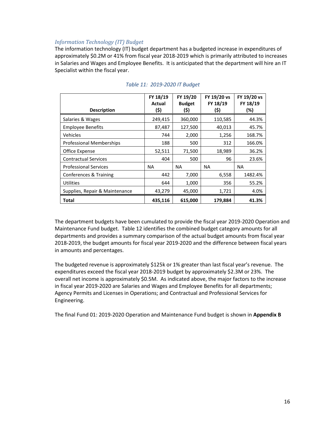#### *Information Technology (IT) Budget*

The information technology (IT) budget department has a budgeted increase in expenditures of approximately \$0.2M or 41% from fiscal year 2018-2019 which is primarily attributed to increases in Salaries and Wages and Employee Benefits. It is anticipated that the department will hire an IT Specialist within the fiscal year.

<span id="page-15-0"></span>

|                                 | FY 18/19<br>Actual | FY 19/20<br><b>Budget</b> | FY 19/20 vs<br>FY 18/19 | FY 19/20 vs<br>FY 18/19 |
|---------------------------------|--------------------|---------------------------|-------------------------|-------------------------|
| <b>Description</b>              | (\$)               | (\$)                      | (\$)                    | (%)                     |
| Salaries & Wages                | 249,415            | 360,000                   | 110,585                 | 44.3%                   |
| <b>Employee Benefits</b>        | 87,487             | 127,500                   | 40,013                  | 45.7%                   |
| Vehicles                        | 744                | 2,000                     | 1,256                   | 168.7%                  |
| <b>Professional Memberships</b> | 188                | 500                       | 312                     | 166.0%                  |
| Office Expense                  | 52,511             | 71,500                    | 18,989                  | 36.2%                   |
| <b>Contractual Services</b>     | 404                | 500                       | 96                      | 23.6%                   |
| <b>Professional Services</b>    | NA.                | NA                        | NA.                     | NA.                     |
| Conferences & Training          | 442                | 7,000                     | 6,558                   | 1482.4%                 |
| <b>Utilities</b>                | 644                | 1,000                     | 356                     | 55.2%                   |
| Supplies, Repair & Maintenance  | 43,279             | 45,000                    | 1,721                   | 4.0%                    |
| Total                           | 435,116            | 615,000                   | 179,884                 | 41.3%                   |

### *Table 11: 2019-2020 IT Budget*

The department budgets have been cumulated to provide the fiscal year 2019-2020 Operation and Maintenance Fund budget. Table 12 identifies the combined budget category amounts for all departments and provides a summary comparison of the actual budget amounts from fiscal year 2018-2019, the budget amounts for fiscal year 2019-2020 and the difference between fiscal years in amounts and percentages.

The budgeted revenue is approximately \$125k or 1% greater than last fiscal year's revenue. The expenditures exceed the fiscal year 2018-2019 budget by approximately \$2.3M or 23%. The overall net income is approximately \$0.5M. As indicated above, the major factors to the increase in fiscal year 2019-2020 are Salaries and Wages and Employee Benefits for all departments; Agency Permits and Licenses in Operations; and Contractual and Professional Services for Engineering.

The final Fund 01: 2019-2020 Operation and Maintenance Fund budget is shown in **Appendix B**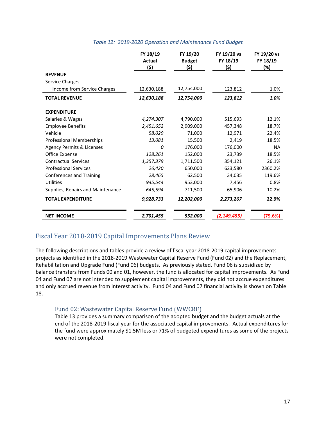|  | Table 12: 2019-2020 Operation and Maintenance Fund Budget |  |
|--|-----------------------------------------------------------|--|
|  |                                                           |  |

<span id="page-16-2"></span>

|                                      | FY 18/19<br><b>Actual</b><br>(\$) | FY 19/20<br><b>Budget</b><br>(\$) | FY 19/20 vs<br>FY 18/19<br>(\$) | FY 19/20 vs<br>FY 18/19<br>(%) |
|--------------------------------------|-----------------------------------|-----------------------------------|---------------------------------|--------------------------------|
| <b>REVENUE</b>                       |                                   |                                   |                                 |                                |
| Service Charges                      |                                   |                                   |                                 |                                |
| Income from Service Charges          | 12,630,188                        | 12,754,000                        | 123,812                         | 1.0%                           |
| <b>TOTAL REVENUE</b>                 | 12,630,188                        | 12,754,000                        | 123,812                         | 1.0%                           |
| <b>EXPENDITURE</b>                   |                                   |                                   |                                 |                                |
| Salaries & Wages                     | 4,274,307                         | 4,790,000                         | 515,693                         | 12.1%                          |
| <b>Employee Benefits</b>             | 2,451,652                         | 2,909,000                         | 457,348                         | 18.7%                          |
| Vehicle                              | 58,029                            | 71,000                            | 12,971                          | 22.4%                          |
| <b>Professional Memberships</b>      | 13,081                            | 15,500                            | 2,419                           | 18.5%                          |
| <b>Agency Permits &amp; Licenses</b> | 0                                 | 176,000                           | 176,000                         | <b>NA</b>                      |
| Office Expense                       | 128,261                           | 152,000                           | 23,739                          | 18.5%                          |
| <b>Contractual Services</b>          | 1,357,379                         | 1,711,500                         | 354,121                         | 26.1%                          |
| <b>Professional Services</b>         | 26,420                            | 650,000                           | 623,580                         | 2360.2%                        |
| <b>Conferences and Training</b>      | 28,465                            | 62,500                            | 34,035                          | 119.6%                         |
| <b>Utilities</b>                     | 945,544                           | 953,000                           | 7,456                           | 0.8%                           |
| Supplies, Repairs and Maintenance    | 645,594                           | 711,500                           | 65,906                          | 10.2%                          |
| <b>TOTAL EXPENDITURE</b>             | 9,928,733                         | 12,202,000                        | 2,273,267                       | 22.9%                          |
| <b>NET INCOME</b>                    | 2,701,455                         | 552,000                           | (2, 149, 455)                   | (79.6%)                        |

# <span id="page-16-0"></span>Fiscal Year 2018-2019 Capital Improvements Plans Review

The following descriptions and tables provide a review of fiscal year 2018-2019 capital improvements projects as identified in the 2018-2019 Wastewater Capital Reserve Fund (Fund 02) and the Replacement, Rehabilitation and Upgrade Fund (Fund 06) budgets. As previously stated, Fund 06 is subsidized by balance transfers from Funds 00 and 01, however, the fund is allocated for capital improvements. As Fund 04 and Fund 07 are not intended to supplement capital improvements, they did not accrue expenditures and only accrued revenue from interest activity. Fund 04 and Fund 07 financial activity is shown on Table 18.

# <span id="page-16-1"></span>Fund 02: Wastewater Capital Reserve Fund (WWCRF)

Table 13 provides a summary comparison of the adopted budget and the budget actuals at the end of the 2018-2019 fiscal year for the associated capital improvements. Actual expenditures for the fund were approximately \$1.5M less or 71% of budgeted expenditures as some of the projects were not completed.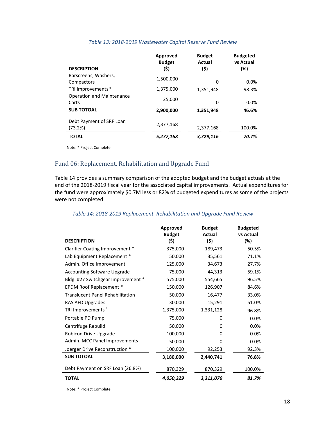<span id="page-17-1"></span>

| <b>DESCRIPTION</b>                        | Approved<br><b>Budget</b><br>(\$) | <b>Budget</b><br>Actual<br>(\$) | <b>Budgeted</b><br>vs Actual<br>(%) |
|-------------------------------------------|-----------------------------------|---------------------------------|-------------------------------------|
| Barscreens, Washers,<br>Compactors        | 1,500,000                         | 0                               | 0.0%                                |
| TRI Improvements *                        | 1,375,000                         | 1,351,948                       | 98.3%                               |
| <b>Operation and Maintenance</b><br>Carts | 25,000                            | 0                               | 0.0%                                |
| <b>SUB TOTOAL</b>                         | 2,900,000                         | 1,351,948                       | 46.6%                               |
| Debt Payment of SRF Loan<br>(73.2%)       | 2,377,168                         | 2,377,168                       | 100.0%                              |
| <b>TOTAL</b>                              | 5,277,168                         | 3,729,116                       | 70.7%                               |

#### *Table 13: 2018-2019 Wastewater Capital Reserve Fund Review*

Note: \* Project Complete

# <span id="page-17-0"></span>Fund 06: Replacement, Rehabilitation and Upgrade Fund

Table 14 provides a summary comparison of the adopted budget and the budget actuals at the end of the 2018-2019 fiscal year for the associated capital improvements. Actual expenditures for the fund were approximately \$0.7M less or 82% of budgeted expenditures as some of the projects were not completed.

#### *Table 14: 2018-2019 Replacement, Rehabilitation and Upgrade Fund Review*

<span id="page-17-2"></span>

|                                         | Approved<br><b>Budget</b> | <b>Budget</b><br>Actual | <b>Budgeted</b><br>vs Actual |
|-----------------------------------------|---------------------------|-------------------------|------------------------------|
| <b>DESCRIPTION</b>                      | (\$)                      | (\$)                    | (%)                          |
| Clarifier Coating Improvement *         | 375,000                   | 189,473                 | 50.5%                        |
| Lab Equipment Replacement *             | 50,000                    | 35,561                  | 71.1%                        |
| Admin. Office Improvement               | 125,000                   | 34,673                  | 27.7%                        |
| <b>Accounting Software Upgrade</b>      | 75,000                    | 44,313                  | 59.1%                        |
| Bldg. #27 Switchgear Improvement *      | 575,000                   | 554,665                 | 96.5%                        |
| EPDM Roof Replacement *                 | 150,000                   | 126,907                 | 84.6%                        |
| <b>Translucent Panel Rehabilitation</b> | 50,000                    | 16,477                  | 33.0%                        |
| RAS AFD Upgrades                        | 30,000                    | 15,291                  | 51.0%                        |
| TRI Improvements*                       | 1,375,000                 | 1,331,128               | 96.8%                        |
| Portable PD Pump                        | 75,000                    | 0                       | 0.0%                         |
| Centrifuge Rebuild                      | 50,000                    | 0                       | 0.0%                         |
| Robicon Drive Upgrade                   | 100,000                   | 0                       | 0.0%                         |
| Admin. MCC Panel Improvements           | 50,000                    | 0                       | 0.0%                         |
| Joerger Drive Reconstruction *          | 100,000                   | 92,253                  | 92.3%                        |
| <b>SUB TOTOAL</b>                       | 3,180,000                 | 2,440,741               | 76.8%                        |
| Debt Payment on SRF Loan (26.8%)        | 870,329                   | 870,329                 | 100.0%                       |
| <b>TOTAL</b>                            | 4,050,329                 | 3,311,070               | 81.7%                        |

Note: \* Project Complete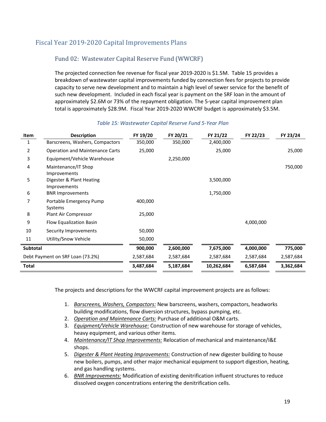# <span id="page-18-1"></span><span id="page-18-0"></span>Fiscal Year 2019-2020 Capital Improvements Plans

### Fund 02: Wastewater Capital Reserve Fund (WWCRF)

The projected connection fee revenue for fiscal year 2019-2020 is \$1.5M. Table 15 provides a breakdown of wastewater capital improvements funded by connection fees for projects to provide capacity to serve new development and to maintain a high level of sewer service for the benefit of such new development. Included in each fiscal year is payment on the SRF loan in the amount of approximately \$2.6M or 73% of the repayment obligation. The 5-year capital improvement plan total is approximately \$28.9M. Fiscal Year 2019-2020 WWCRF budget is approximately \$3.5M.

<span id="page-18-2"></span>

| Item            | <b>Description</b>                              | FY 19/20  | FY 20/21  | FY 21/22   | FY 22/23  | FY 23/24  |
|-----------------|-------------------------------------------------|-----------|-----------|------------|-----------|-----------|
| 1               | Barscreens, Washers, Compactors                 | 350,000   | 350,000   | 2,400,000  |           |           |
| 2               | <b>Operation and Maintenance Carts</b>          | 25,000    |           | 25,000     |           | 25,000    |
| 3               | Equipment/Vehicle Warehouse                     |           | 2,250,000 |            |           |           |
| 4               | Maintenance/IT Shop<br>Improvements             |           |           |            |           | 750,000   |
| 5               | Digester & Plant Heating<br><b>Improvements</b> |           |           | 3,500,000  |           |           |
| 6               | <b>BNR Improvements</b>                         |           |           | 1,750,000  |           |           |
| 7               | Portable Emergency Pump<br>Systems              | 400,000   |           |            |           |           |
| 8               | Plant Air Compressor                            | 25,000    |           |            |           |           |
| 9               | Flow Equalization Basin                         |           |           |            | 4,000,000 |           |
| 10              | Security Improvements                           | 50,000    |           |            |           |           |
| 11              | Utility/Snow Vehicle                            | 50,000    |           |            |           |           |
| <b>Subtotal</b> |                                                 | 900,000   | 2,600,000 | 7,675,000  | 4,000,000 | 775,000   |
|                 | Debt Payment on SRF Loan (73.2%)                | 2,587,684 | 2,587,684 | 2,587,684  | 2,587,684 | 2,587,684 |
| Total           |                                                 | 3,487,684 | 5,187,684 | 10,262,684 | 6,587,684 | 3,362,684 |

#### *Table 15: Wastewater Capital Reserve Fund 5-Year Plan*

The projects and descriptions for the WWCRF capital improvement projects are as follows:

- 1. *Barscreens, Washers, Compactors:* New barscreens, washers, compactors, headworks building modifications, flow diversion structures, bypass pumping, etc.
- 2. *Operation and Maintenance Carts:* Purchase of additional O&M carts.
- 3. *Equipment/Vehicle Warehouse:* Construction of new warehouse for storage of vehicles, heavy equipment, and various other items.
- 4. *Maintenance/IT Shop Improvements:* Relocation of mechanical and maintenance/I&E shops.
- 5. *Digester & Plant Heating Improvements:* Construction of new digester building to house new boilers, pumps, and other major mechanical equipment to support digestion, heating, and gas handling systems.
- 6. *BNR Improvements:* Modification of existing denitrification influent structures to reduce dissolved oxygen concentrations entering the denitrification cells.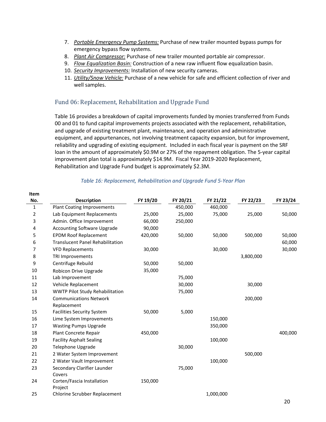- 7. *Portable Emergency Pump Systems:* Purchase of new trailer mounted bypass pumps for emergency bypass flow systems.
- 8. *Plant Air Compressor:* Purchase of new trailer mounted portable air compressor.
- 9. *Flow Equalization Basin:* Construction of a new raw influent flow equalization basin.
- 10. *Security Improvements:* Installation of new security cameras.
- 11. *Utility/Snow Vehicle:* Purchase of a new vehicle for safe and efficient collection of river and well samples.

### <span id="page-19-0"></span>Fund 06: Replacement, Rehabilitation and Upgrade Fund

Table 16 provides a breakdown of capital improvements funded by monies transferred from Funds 00 and 01 to fund capital improvements projects associated with the replacement, rehabilitation, and upgrade of existing treatment plant, maintenance, and operation and administrative equipment, and appurtenances, not involving treatment capacity expansion, but for improvement, reliability and upgrading of existing equipment. Included in each fiscal year is payment on the SRF loan in the amount of approximately \$0.9M or 27% of the repayment obligation. The 5-year capital improvement plan total is approximately \$14.9M. Fiscal Year 2019-2020 Replacement, Rehabilitation and Upgrade Fund budget is approximately \$2.3M.

<span id="page-19-1"></span>

| Item |                                         |          |          |           |           |          |
|------|-----------------------------------------|----------|----------|-----------|-----------|----------|
| No.  | <b>Description</b>                      | FY 19/20 | FY 20/21 | FY 21/22  | FY 22/23  | FY 23/24 |
| 1    | <b>Plant Coating Improvements</b>       |          | 450,000  | 460,000   |           |          |
| 2    | Lab Equipment Replacements              | 25,000   | 25,000   | 75,000    | 25,000    | 50,000   |
| 3    | Admin. Office Improvement               | 66,000   | 250,000  |           |           |          |
| 4    | <b>Accounting Software Upgrade</b>      | 90,000   |          |           |           |          |
| 5    | <b>EPDM Roof Replacement</b>            | 420,000  | 50,000   | 50,000    | 500,000   | 50,000   |
| 6    | <b>Translucent Panel Rehabilitation</b> |          |          |           |           | 60,000   |
| 7    | <b>VFD Replacements</b>                 | 30,000   |          | 30,000    |           | 30,000   |
| 8    | TRI Improvements                        |          |          |           | 3,800,000 |          |
| 9    | Centrifuge Rebuild                      | 50,000   | 50,000   |           |           |          |
| 10   | Robicon Drive Upgrade                   | 35,000   |          |           |           |          |
| 11   | Lab Improvement                         |          | 75,000   |           |           |          |
| 12   | Vehicle Replacement                     |          | 30,000   |           | 30,000    |          |
| 13   | WWTP Pilot Study Rehabilitation         |          | 75,000   |           |           |          |
| 14   | <b>Communications Network</b>           |          |          |           | 200,000   |          |
|      | Replacement                             |          |          |           |           |          |
| 15   | <b>Facilities Security System</b>       | 50,000   | 5,000    |           |           |          |
| 16   | Lime System Improvements                |          |          | 150,000   |           |          |
| 17   | <b>Wasting Pumps Upgrade</b>            |          |          | 350,000   |           |          |
| 18   | Plant Concrete Repair                   | 450,000  |          |           |           | 400,000  |
| 19   | <b>Facility Asphalt Sealing</b>         |          |          | 100,000   |           |          |
| 20   | Telephone Upgrade                       |          | 30,000   |           |           |          |
| 21   | 2 Water System Improvement              |          |          |           | 500,000   |          |
| 22   | 2 Water Vault Improvement               |          |          | 100,000   |           |          |
| 23   | Secondary Clarifier Launder             |          | 75,000   |           |           |          |
|      | Covers                                  |          |          |           |           |          |
| 24   | Corten/Fascia Installation              | 150,000  |          |           |           |          |
|      | Project                                 |          |          |           |           |          |
| 25   | Chlorine Scrubber Replacement           |          |          | 1,000,000 |           |          |
|      |                                         |          |          |           |           |          |

#### *Table 16: Replacement, Rehabilitation and Upgrade Fund 5-Year Plan*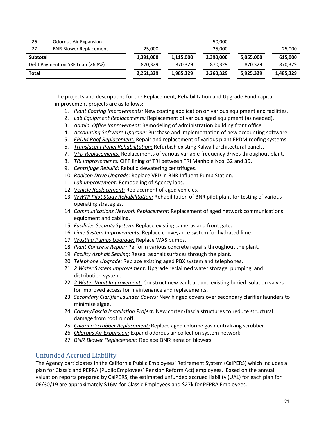| 26              | <b>Odorous Air Expansion</b>     |           |           | 50,000    |           |           |
|-----------------|----------------------------------|-----------|-----------|-----------|-----------|-----------|
| 27              | <b>BNR Blower Replacement</b>    | 25,000    |           | 25,000    |           | 25,000    |
| <b>Subtotal</b> |                                  | 1,391,000 | 1,115,000 | 2,390,000 | 5,055,000 | 615,000   |
|                 | Debt Payment on SRF Loan (26.8%) | 870.329   | 870.329   | 870.329   | 870.329   | 870,329   |
| Total           |                                  | 2,261,329 | 1,985,329 | 3,260,329 | 5,925,329 | 1,485,329 |

The projects and descriptions for the Replacement, Rehabilitation and Upgrade Fund capital improvement projects are as follows:

- 1. *Plant Coating Improvements:* New coating application on various equipment and facilities.
- 2. *Lab Equipment Replacements:* Replacement of various aged equipment (as needed).
- 3. *Admin. Office Improvement:* Remodeling of administration building front office.
- 4. *Accounting Software Upgrade:* Purchase and implementation of new accounting software.
- 5. *EPDM Roof Replacement:* Repair and replacement of various plant EPDM roofing systems.
- 6. *Translucent Panel Rehabilitation:* Refurbish existing Kalwall architectural panels.
- 7. *VFD Replacements:* Replacements of various variable frequency drives throughout plant.
- 8. *TRI Improvements:* CIPP lining of TRI between TRI Manhole Nos. 32 and 35.
- 9. *Centrifuge Rebuild:* Rebuild dewatering centrifuges.
- 10. *Robicon Drive Upgrade:* Replace VFD in BNR Influent Pump Station.
- 11. *Lab Improvement:* Remodeling of Agency labs.
- 12. *Vehicle Replacement:* Replacement of aged vehicles.
- 13. *WWTP Pilot Study Rehabilitation:* Rehabilitation of BNR pilot plant for testing of various operating strategies.
- 14. *Communications Network Replacement:* Replacement of aged network communications equipment and cabling.
- 15. *Facilities Security System:* Replace existing cameras and front gate.
- 16. *Lime System Improvements:* Replace conveyance system for hydrated lime.
- 17. *Wasting Pumps Upgrade:* Replace WAS pumps.
- 18. *Plant Concrete Repair:* Perform various concrete repairs throughout the plant.
- 19. *Facility Asphalt Sealing:* Reseal asphalt surfaces through the plant.
- 20. *Telephone Upgrade:* Replace existing aged PBX system and telephones.
- 21. *2 Water System Improvement:* Upgrade reclaimed water storage, pumping, and distribution system.
- 22. *2 Water Vault Improvement:* Construct new vault around existing buried isolation valves for improved access for maintenance and replacements.
- 23. *Secondary Clarifier Launder Covers:* New hinged covers over secondary clarifier launders to minimize algae.
- 24. *Corten/Fascia Installation Project:* New corten/fascia structures to reduce structural damage from roof runoff.
- 25. *Chlorine Scrubber Replacement:* Replace aged chlorine gas neutralizing scrubber.
- 26. *Odorous Air Expansion:* Expand odorous air collection system network.
- 27. *BNR Blower Replacement:* Replace BNR aeration blowers

# <span id="page-20-0"></span>Unfunded Accrued Liability

The Agency participates in the California Public Employees' Retirement System (CalPERS) which includes a plan for Classic and PEPRA (Public Employees' Pension Reform Act) employees. Based on the annual valuation reports prepared by CalPERS, the estimated unfunded accrued liability (UAL) for each plan for 06/30/19 are approximately \$16M for Classic Employees and \$27k for PEPRA Employees.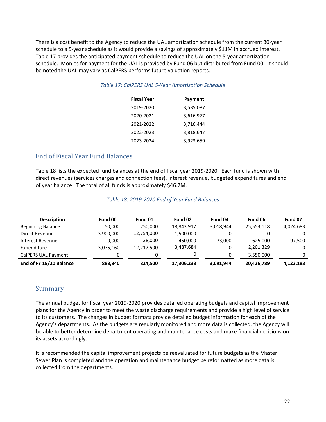<span id="page-21-2"></span>There is a cost benefit to the Agency to reduce the UAL amortization schedule from the current 30-year schedule to a 5-year schedule as it would provide a savings of approximately \$11M in accrued interest. Table 17 provides the anticipated payment schedule to reduce the UAL on the 5-year amortization schedule. Monies for payment for the UAL is provided by Fund 06 but distributed from Fund 00. It should be noted the UAL may vary as CalPERS performs future valuation reports.

#### *Table 17: CalPERS UAL 5-Year Amortization Schedule*

| <b>Fiscal Year</b> | Payment   |
|--------------------|-----------|
| 2019-2020          | 3,535,087 |
| 2020-2021          | 3,616,977 |
| 2021-2022          | 3,716,444 |
| 2022-2023          | 3,818,647 |
| 2023-2024          | 3.923.659 |

# <span id="page-21-0"></span>End of Fiscal Year Fund Balances

Table 18 lists the expected fund balances at the end of fiscal year 2019-2020. Each fund is shown with direct revenues (services charges and connection fees), interest revenue, budgeted expenditures and end of year balance. The total of all funds is approximately \$46.7M.

#### *Table 18: 2019-2020 End of Year Fund Balances*

<span id="page-21-3"></span>

| <b>Description</b>       | Fund 00   | Fund 01    | Fund 02    | Fund 04   | Fund 06    | Fund 07   |
|--------------------------|-----------|------------|------------|-----------|------------|-----------|
| <b>Beginning Balance</b> | 50,000    | 250,000    | 18,843,917 | 3.018.944 | 25,553,118 | 4,024,683 |
| Direct Revenue           | 3,900,000 | 12,754,000 | 1,500,000  |           |            |           |
| Interest Revenue         | 9,000     | 38,000     | 450.000    | 73.000    | 625.000    | 97,500    |
| Expenditure              | 3.075.160 | 12,217,500 | 3,487,684  |           | 2,201,329  |           |
| CalPERS UAL Payment      |           |            |            |           | 3,550,000  | 0         |
| End of FY 19/20 Balance  | 883,840   | 824.500    | 17,306,233 | 3,091,944 | 20,426,789 | 4,122,183 |

# <span id="page-21-1"></span>Summary

The annual budget for fiscal year 2019-2020 provides detailed operating budgets and capital improvement plans for the Agency in order to meet the waste discharge requirements and provide a high level of service to its customers. The changes in budget formats provide detailed budget information for each of the Agency's departments. As the budgets are regularly monitored and more data is collected, the Agency will be able to better determine department operating and maintenance costs and make financial decisions on its assets accordingly.

It is recommended the capital improvement projects be reevaluated for future budgets as the Master Sewer Plan is completed and the operation and maintenance budget be reformatted as more data is collected from the departments.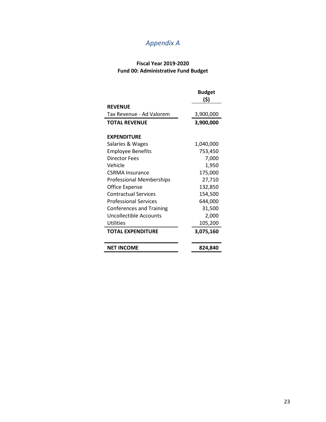# *Appendix A*

#### **Fiscal Year 2019-2020 Fund 00: Administrative Fund Budget**

|                                 | <b>Budget</b><br>(\$) |
|---------------------------------|-----------------------|
| <b>REVENUE</b>                  |                       |
| Tax Revenue - Ad Valorem        | 3,900,000             |
| <b>TOTAL REVENUE</b>            | 3,900,000             |
|                                 |                       |
| <b>EXPENDITURE</b>              |                       |
| Salaries & Wages                | 1,040,000             |
| <b>Employee Benefits</b>        | 753,450               |
| Director Fees                   | 7,000                 |
| Vehicle                         | 1,950                 |
| CSRMA Insurance                 | 175,000               |
| <b>Professional Memberships</b> | 27,710                |
| Office Expense                  | 132,850               |
| <b>Contractual Services</b>     | 154,500               |
| <b>Professional Services</b>    | 644,000               |
| <b>Conferences and Training</b> | 31,500                |
| Uncollectible Accounts          | 2,000                 |
| <b>Utilities</b>                | 105,200               |
| <b>TOTAL EXPENDITURE</b>        | 3,075,160             |
|                                 |                       |
| <b>NET INCOME</b>               | 824,840               |